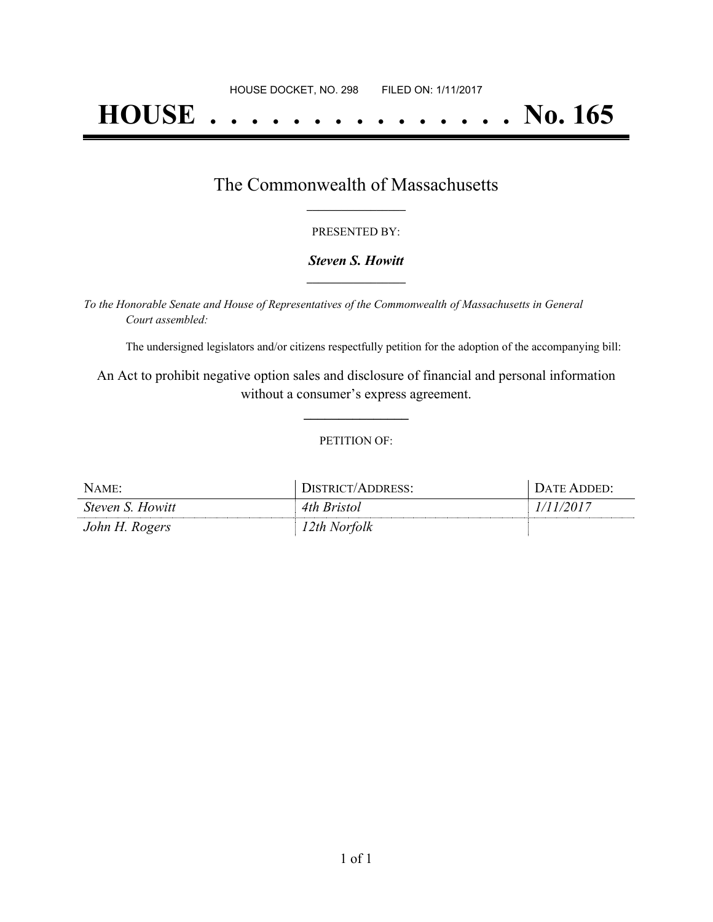# **HOUSE . . . . . . . . . . . . . . . No. 165**

## The Commonwealth of Massachusetts **\_\_\_\_\_\_\_\_\_\_\_\_\_\_\_\_\_**

#### PRESENTED BY:

#### *Steven S. Howitt* **\_\_\_\_\_\_\_\_\_\_\_\_\_\_\_\_\_**

*To the Honorable Senate and House of Representatives of the Commonwealth of Massachusetts in General Court assembled:*

The undersigned legislators and/or citizens respectfully petition for the adoption of the accompanying bill:

An Act to prohibit negative option sales and disclosure of financial and personal information without a consumer's express agreement.

**\_\_\_\_\_\_\_\_\_\_\_\_\_\_\_**

#### PETITION OF:

| NAME:                   | DISTRICT/ADDRESS: | DATE ADDED: |
|-------------------------|-------------------|-------------|
| <i>Steven S. Howitt</i> | 4th Bristol       | 1/11/2017   |
| John H. Rogers          | 12th Norfolk      |             |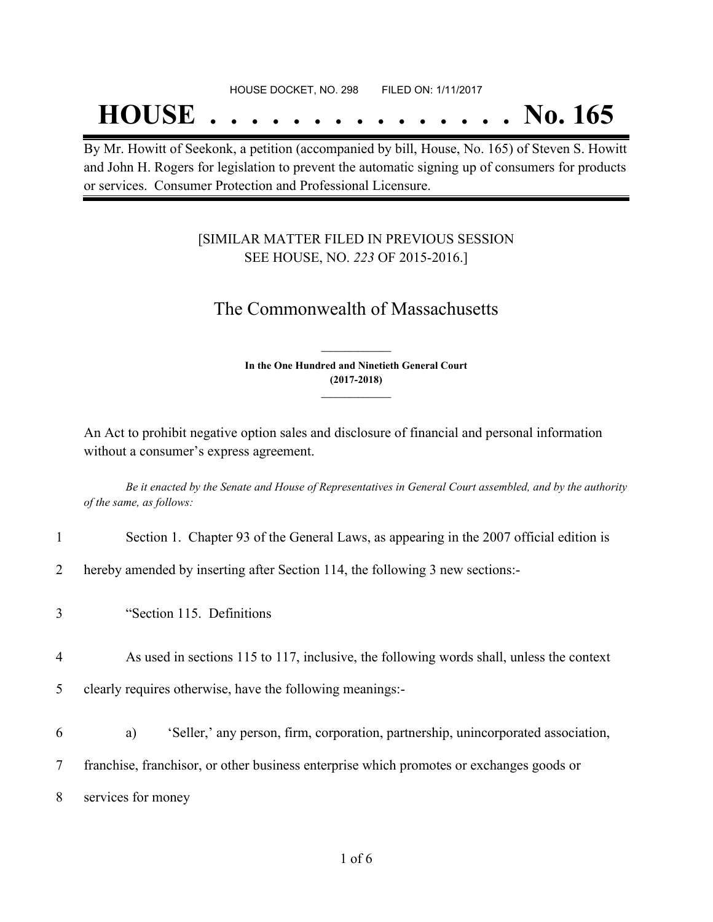## **HOUSE . . . . . . . . . . . . . . . No. 165**

By Mr. Howitt of Seekonk, a petition (accompanied by bill, House, No. 165) of Steven S. Howitt and John H. Rogers for legislation to prevent the automatic signing up of consumers for products or services. Consumer Protection and Professional Licensure.

### [SIMILAR MATTER FILED IN PREVIOUS SESSION SEE HOUSE, NO. *223* OF 2015-2016.]

## The Commonwealth of Massachusetts

**In the One Hundred and Ninetieth General Court (2017-2018) \_\_\_\_\_\_\_\_\_\_\_\_\_\_\_**

**\_\_\_\_\_\_\_\_\_\_\_\_\_\_\_**

An Act to prohibit negative option sales and disclosure of financial and personal information without a consumer's express agreement.

Be it enacted by the Senate and House of Representatives in General Court assembled, and by the authority *of the same, as follows:*

- 1 Section 1. Chapter 93 of the General Laws, as appearing in the 2007 official edition is
- 2 hereby amended by inserting after Section 114, the following 3 new sections:-
- 3 "Section 115. Definitions
- 4 As used in sections 115 to 117, inclusive, the following words shall, unless the context
- 5 clearly requires otherwise, have the following meanings:-
- 6 a) 'Seller,' any person, firm, corporation, partnership, unincorporated association,

7 franchise, franchisor, or other business enterprise which promotes or exchanges goods or

8 services for money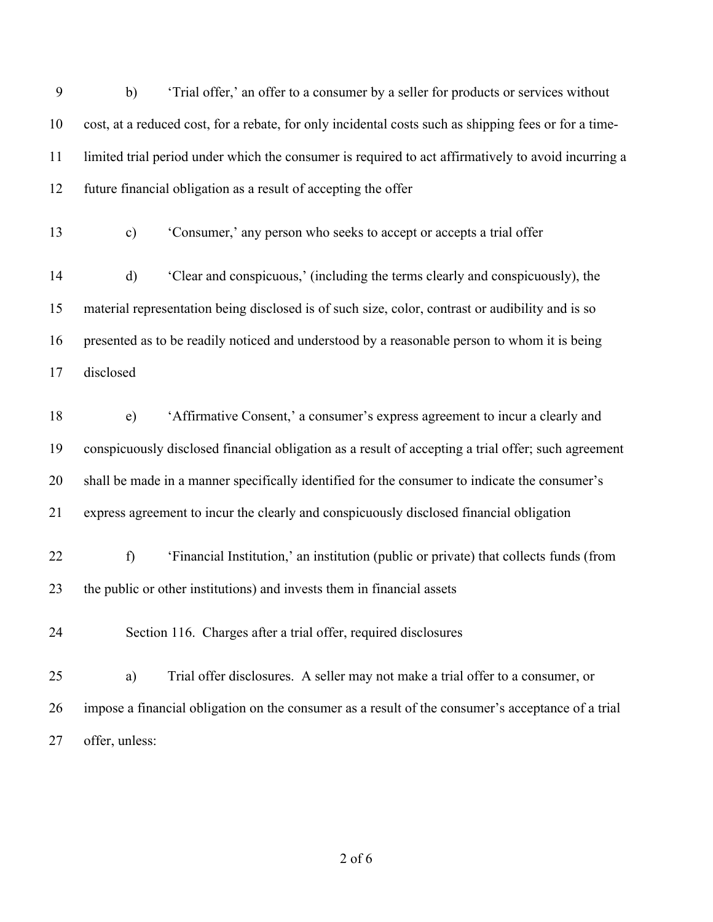| 9  | b)<br>'Trial offer,' an offer to a consumer by a seller for products or services without              |
|----|-------------------------------------------------------------------------------------------------------|
| 10 | cost, at a reduced cost, for a rebate, for only incidental costs such as shipping fees or for a time- |
| 11 | limited trial period under which the consumer is required to act affirmatively to avoid incurring a   |
| 12 | future financial obligation as a result of accepting the offer                                        |
| 13 | $\mathbf{c})$<br>'Consumer,' any person who seeks to accept or accepts a trial offer                  |
| 14 | 'Clear and conspicuous,' (including the terms clearly and conspicuously), the<br>$\mathbf{d}$         |
| 15 | material representation being disclosed is of such size, color, contrast or audibility and is so      |
| 16 | presented as to be readily noticed and understood by a reasonable person to whom it is being          |
| 17 | disclosed                                                                                             |
| 18 | 'Affirmative Consent,' a consumer's express agreement to incur a clearly and<br>e)                    |
| 19 | conspicuously disclosed financial obligation as a result of accepting a trial offer; such agreement   |
| 20 | shall be made in a manner specifically identified for the consumer to indicate the consumer's         |
| 21 | express agreement to incur the clearly and conspicuously disclosed financial obligation               |
| 22 | 'Financial Institution,' an institution (public or private) that collects funds (from<br>f)           |
| 23 | the public or other institutions) and invests them in financial assets                                |
| 24 | Section 116. Charges after a trial offer, required disclosures                                        |
| 25 | Trial offer disclosures. A seller may not make a trial offer to a consumer, or<br>a)                  |
| 26 | impose a financial obligation on the consumer as a result of the consumer's acceptance of a trial     |
| 27 | offer, unless:                                                                                        |

of 6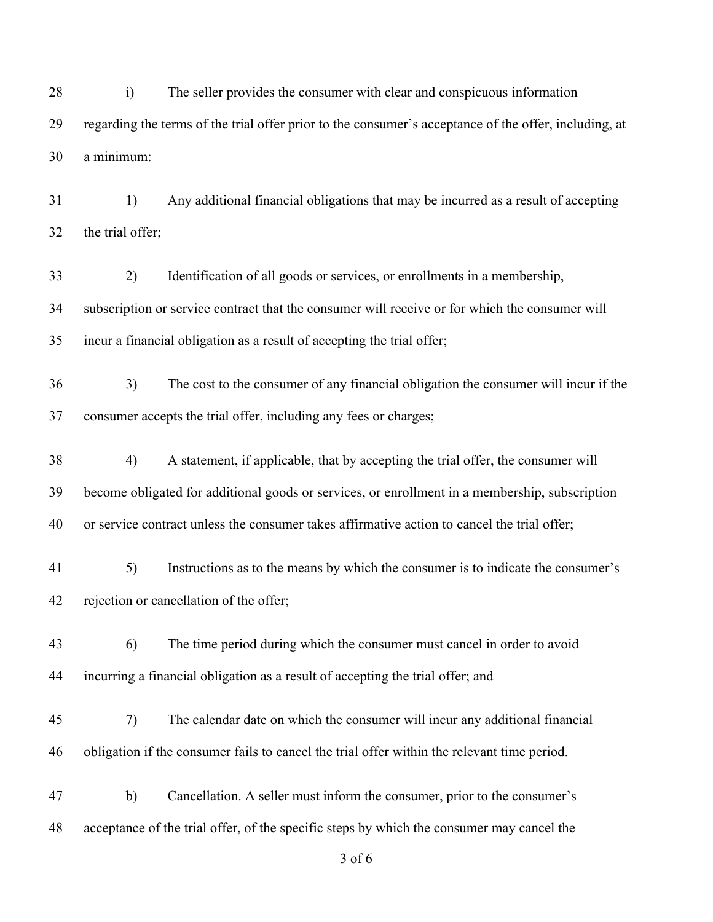i) The seller provides the consumer with clear and conspicuous information regarding the terms of the trial offer prior to the consumer's acceptance of the offer, including, at a minimum:

 1) Any additional financial obligations that may be incurred as a result of accepting the trial offer;

 2) Identification of all goods or services, or enrollments in a membership, subscription or service contract that the consumer will receive or for which the consumer will incur a financial obligation as a result of accepting the trial offer;

 3) The cost to the consumer of any financial obligation the consumer will incur if the consumer accepts the trial offer, including any fees or charges;

 4) A statement, if applicable, that by accepting the trial offer, the consumer will become obligated for additional goods or services, or enrollment in a membership, subscription or service contract unless the consumer takes affirmative action to cancel the trial offer;

 5) Instructions as to the means by which the consumer is to indicate the consumer's rejection or cancellation of the offer;

 6) The time period during which the consumer must cancel in order to avoid incurring a financial obligation as a result of accepting the trial offer; and

 7) The calendar date on which the consumer will incur any additional financial obligation if the consumer fails to cancel the trial offer within the relevant time period.

 b) Cancellation. A seller must inform the consumer, prior to the consumer's acceptance of the trial offer, of the specific steps by which the consumer may cancel the

of 6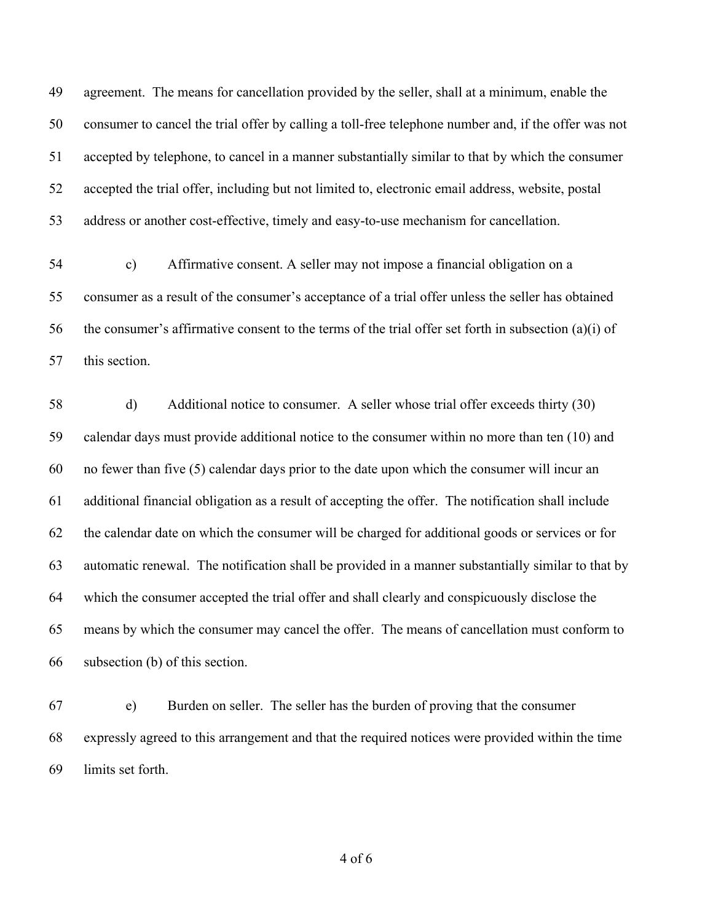agreement. The means for cancellation provided by the seller, shall at a minimum, enable the consumer to cancel the trial offer by calling a toll-free telephone number and, if the offer was not accepted by telephone, to cancel in a manner substantially similar to that by which the consumer accepted the trial offer, including but not limited to, electronic email address, website, postal address or another cost-effective, timely and easy-to-use mechanism for cancellation.

 c) Affirmative consent. A seller may not impose a financial obligation on a consumer as a result of the consumer's acceptance of a trial offer unless the seller has obtained the consumer's affirmative consent to the terms of the trial offer set forth in subsection (a)(i) of this section.

 d) Additional notice to consumer. A seller whose trial offer exceeds thirty (30) calendar days must provide additional notice to the consumer within no more than ten (10) and no fewer than five (5) calendar days prior to the date upon which the consumer will incur an additional financial obligation as a result of accepting the offer. The notification shall include the calendar date on which the consumer will be charged for additional goods or services or for automatic renewal. The notification shall be provided in a manner substantially similar to that by which the consumer accepted the trial offer and shall clearly and conspicuously disclose the means by which the consumer may cancel the offer. The means of cancellation must conform to subsection (b) of this section.

 e) Burden on seller. The seller has the burden of proving that the consumer expressly agreed to this arrangement and that the required notices were provided within the time limits set forth.

of 6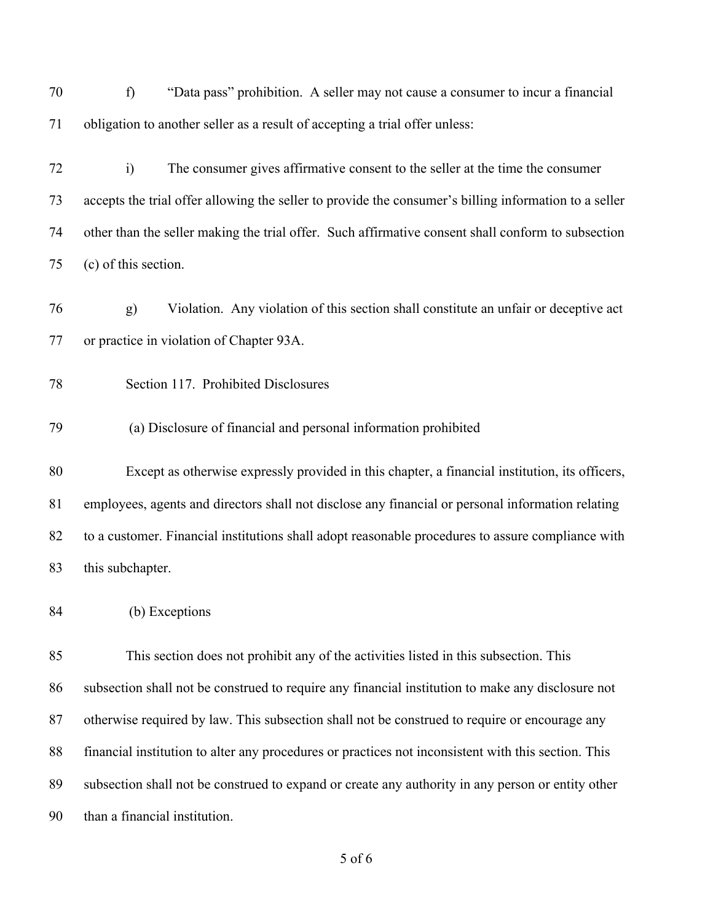f) "Data pass" prohibition. A seller may not cause a consumer to incur a financial obligation to another seller as a result of accepting a trial offer unless:

 i) The consumer gives affirmative consent to the seller at the time the consumer accepts the trial offer allowing the seller to provide the consumer's billing information to a seller other than the seller making the trial offer. Such affirmative consent shall conform to subsection (c) of this section.

 g) Violation. Any violation of this section shall constitute an unfair or deceptive act or practice in violation of Chapter 93A.

- Section 117. Prohibited Disclosures
- (a) Disclosure of financial and personal information prohibited

 Except as otherwise expressly provided in this chapter, a financial institution, its officers, employees, agents and directors shall not disclose any financial or personal information relating to a customer. Financial institutions shall adopt reasonable procedures to assure compliance with this subchapter.

(b) Exceptions

 This section does not prohibit any of the activities listed in this subsection. This subsection shall not be construed to require any financial institution to make any disclosure not otherwise required by law. This subsection shall not be construed to require or encourage any financial institution to alter any procedures or practices not inconsistent with this section. This subsection shall not be construed to expand or create any authority in any person or entity other than a financial institution.